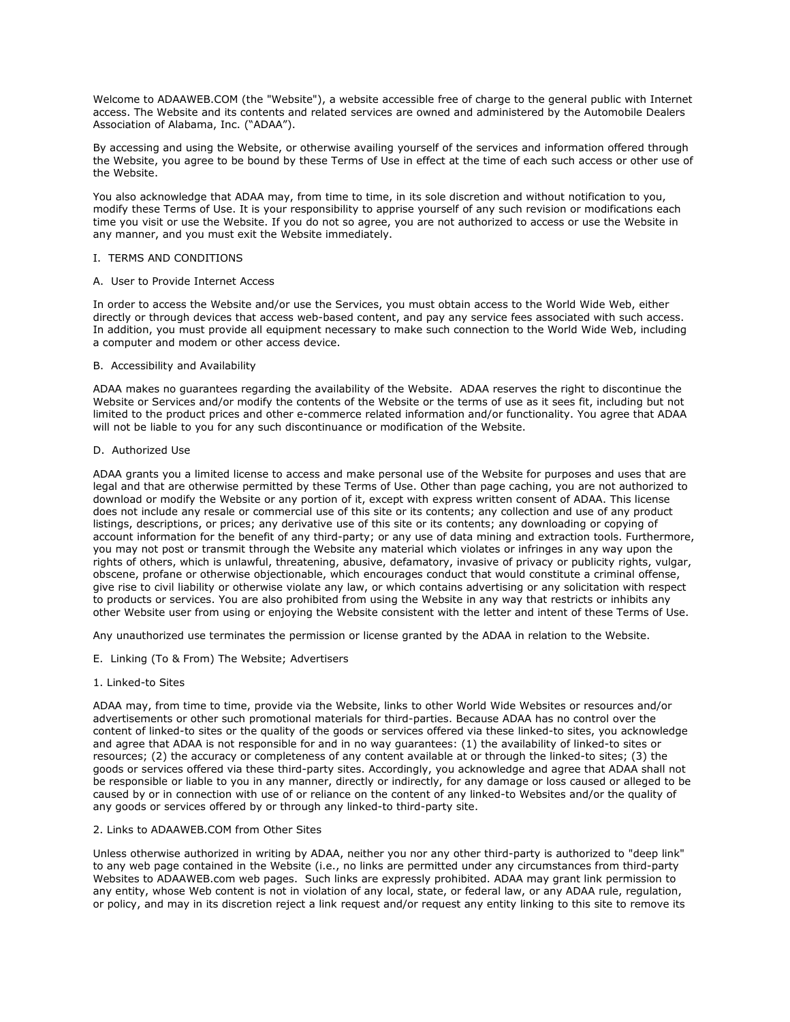Welcome to ADAAWEB.COM (the "Website"), a website accessible free of charge to the general public with Internet access. The Website and its contents and related services are owned and administered by the Automobile Dealers Association of Alabama, Inc. ("ADAA").

By accessing and using the Website, or otherwise availing yourself of the services and information offered through the Website, you agree to be bound by these Terms of Use in effect at the time of each such access or other use of the Website.

You also acknowledge that ADAA may, from time to time, in its sole discretion and without notification to you, modify these Terms of Use. It is your responsibility to apprise yourself of any such revision or modifications each time you visit or use the Website. If you do not so agree, you are not authorized to access or use the Website in any manner, and you must exit the Website immediately.

# I. TERMS AND CONDITIONS

### A. User to Provide Internet Access

In order to access the Website and/or use the Services, you must obtain access to the World Wide Web, either directly or through devices that access web-based content, and pay any service fees associated with such access. In addition, you must provide all equipment necessary to make such connection to the World Wide Web, including a computer and modem or other access device.

### B. Accessibility and Availability

ADAA makes no guarantees regarding the availability of the Website. ADAA reserves the right to discontinue the Website or Services and/or modify the contents of the Website or the terms of use as it sees fit, including but not limited to the product prices and other e-commerce related information and/or functionality. You agree that ADAA will not be liable to you for any such discontinuance or modification of the Website.

### D. Authorized Use

ADAA grants you a limited license to access and make personal use of the Website for purposes and uses that are legal and that are otherwise permitted by these Terms of Use. Other than page caching, you are not authorized to download or modify the Website or any portion of it, except with express written consent of ADAA. This license does not include any resale or commercial use of this site or its contents; any collection and use of any product listings, descriptions, or prices; any derivative use of this site or its contents; any downloading or copying of account information for the benefit of any third-party; or any use of data mining and extraction tools. Furthermore, you may not post or transmit through the Website any material which violates or infringes in any way upon the rights of others, which is unlawful, threatening, abusive, defamatory, invasive of privacy or publicity rights, vulgar, obscene, profane or otherwise objectionable, which encourages conduct that would constitute a criminal offense, give rise to civil liability or otherwise violate any law, or which contains advertising or any solicitation with respect to products or services. You are also prohibited from using the Website in any way that restricts or inhibits any other Website user from using or enjoying the Website consistent with the letter and intent of these Terms of Use.

Any unauthorized use terminates the permission or license granted by the ADAA in relation to the Website.

E. Linking (To & From) The Website; Advertisers

# 1. Linked-to Sites

ADAA may, from time to time, provide via the Website, links to other World Wide Websites or resources and/or advertisements or other such promotional materials for third-parties. Because ADAA has no control over the content of linked-to sites or the quality of the goods or services offered via these linked-to sites, you acknowledge and agree that ADAA is not responsible for and in no way guarantees: (1) the availability of linked-to sites or resources; (2) the accuracy or completeness of any content available at or through the linked-to sites; (3) the goods or services offered via these third-party sites. Accordingly, you acknowledge and agree that ADAA shall not be responsible or liable to you in any manner, directly or indirectly, for any damage or loss caused or alleged to be caused by or in connection with use of or reliance on the content of any linked-to Websites and/or the quality of any goods or services offered by or through any linked-to third-party site.

### 2. Links to ADAAWEB.COM from Other Sites

Unless otherwise authorized in writing by ADAA, neither you nor any other third-party is authorized to "deep link" to any web page contained in the Website (i.e., no links are permitted under any circumstances from third-party Websites to ADAAWEB.com web pages. Such links are expressly prohibited. ADAA may grant link permission to any entity, whose Web content is not in violation of any local, state, or federal law, or any ADAA rule, regulation, or policy, and may in its discretion reject a link request and/or request any entity linking to this site to remove its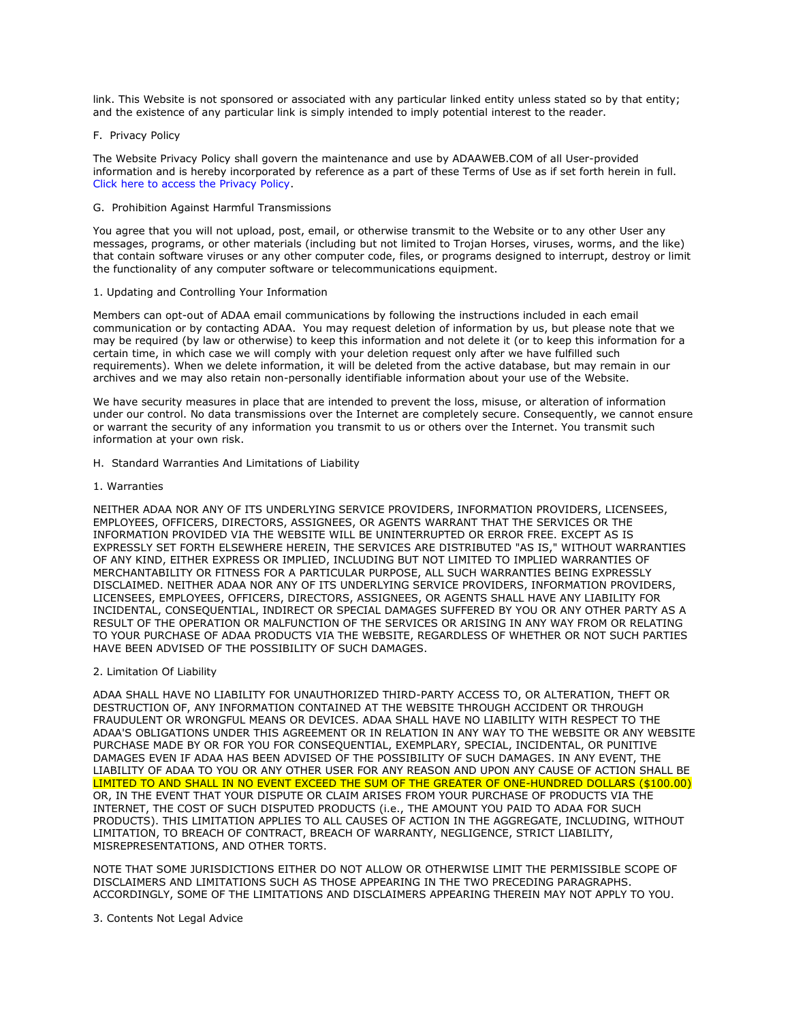link. This Website is not sponsored or associated with any particular linked entity unless stated so by that entity; and the existence of any particular link is simply intended to imply potential interest to the reader.

### F. Privacy Policy

The Website Privacy Policy shall govern the maintenance and use by ADAAWEB.COM of all User-provided information and is hereby incorporated by reference as a part of these Terms of Use as if set forth herein in full. [Click here to access the Privacy Policy.](http://adaaweb.com/docs/privacypolicy.pdf)

### G. Prohibition Against Harmful Transmissions

You agree that you will not upload, post, email, or otherwise transmit to the Website or to any other User any messages, programs, or other materials (including but not limited to Trojan Horses, viruses, worms, and the like) that contain software viruses or any other computer code, files, or programs designed to interrupt, destroy or limit the functionality of any computer software or telecommunications equipment.

### 1. Updating and Controlling Your Information

Members can opt-out of ADAA email communications by following the instructions included in each email communication or by contacting ADAA. You may request deletion of information by us, but please note that we may be required (by law or otherwise) to keep this information and not delete it (or to keep this information for a certain time, in which case we will comply with your deletion request only after we have fulfilled such requirements). When we delete information, it will be deleted from the active database, but may remain in our archives and we may also retain non-personally identifiable information about your use of the Website.

We have security measures in place that are intended to prevent the loss, misuse, or alteration of information under our control. No data transmissions over the Internet are completely secure. Consequently, we cannot ensure or warrant the security of any information you transmit to us or others over the Internet. You transmit such information at your own risk.

H. Standard Warranties And Limitations of Liability

### 1. Warranties

NEITHER ADAA NOR ANY OF ITS UNDERLYING SERVICE PROVIDERS, INFORMATION PROVIDERS, LICENSEES, EMPLOYEES, OFFICERS, DIRECTORS, ASSIGNEES, OR AGENTS WARRANT THAT THE SERVICES OR THE INFORMATION PROVIDED VIA THE WEBSITE WILL BE UNINTERRUPTED OR ERROR FREE. EXCEPT AS IS EXPRESSLY SET FORTH ELSEWHERE HEREIN, THE SERVICES ARE DISTRIBUTED "AS IS," WITHOUT WARRANTIES OF ANY KIND, EITHER EXPRESS OR IMPLIED, INCLUDING BUT NOT LIMITED TO IMPLIED WARRANTIES OF MERCHANTABILITY OR FITNESS FOR A PARTICULAR PURPOSE, ALL SUCH WARRANTIES BEING EXPRESSLY DISCLAIMED. NEITHER ADAA NOR ANY OF ITS UNDERLYING SERVICE PROVIDERS, INFORMATION PROVIDERS, LICENSEES, EMPLOYEES, OFFICERS, DIRECTORS, ASSIGNEES, OR AGENTS SHALL HAVE ANY LIABILITY FOR INCIDENTAL, CONSEQUENTIAL, INDIRECT OR SPECIAL DAMAGES SUFFERED BY YOU OR ANY OTHER PARTY AS A RESULT OF THE OPERATION OR MALFUNCTION OF THE SERVICES OR ARISING IN ANY WAY FROM OR RELATING TO YOUR PURCHASE OF ADAA PRODUCTS VIA THE WEBSITE, REGARDLESS OF WHETHER OR NOT SUCH PARTIES HAVE BEEN ADVISED OF THE POSSIBILITY OF SUCH DAMAGES.

#### 2. Limitation Of Liability

ADAA SHALL HAVE NO LIABILITY FOR UNAUTHORIZED THIRD-PARTY ACCESS TO, OR ALTERATION, THEFT OR DESTRUCTION OF, ANY INFORMATION CONTAINED AT THE WEBSITE THROUGH ACCIDENT OR THROUGH FRAUDULENT OR WRONGFUL MEANS OR DEVICES. ADAA SHALL HAVE NO LIABILITY WITH RESPECT TO THE ADAA'S OBLIGATIONS UNDER THIS AGREEMENT OR IN RELATION IN ANY WAY TO THE WEBSITE OR ANY WEBSITE PURCHASE MADE BY OR FOR YOU FOR CONSEQUENTIAL, EXEMPLARY, SPECIAL, INCIDENTAL, OR PUNITIVE DAMAGES EVEN IF ADAA HAS BEEN ADVISED OF THE POSSIBILITY OF SUCH DAMAGES. IN ANY EVENT, THE LIABILITY OF ADAA TO YOU OR ANY OTHER USER FOR ANY REASON AND UPON ANY CAUSE OF ACTION SHALL BE LIMITED TO AND SHALL IN NO EVENT EXCEED THE SUM OF THE GREATER OF ONE-HUNDRED DOLLARS (\$100.00) OR, IN THE EVENT THAT YOUR DISPUTE OR CLAIM ARISES FROM YOUR PURCHASE OF PRODUCTS VIA THE INTERNET, THE COST OF SUCH DISPUTED PRODUCTS (i.e., THE AMOUNT YOU PAID TO ADAA FOR SUCH PRODUCTS). THIS LIMITATION APPLIES TO ALL CAUSES OF ACTION IN THE AGGREGATE, INCLUDING, WITHOUT LIMITATION, TO BREACH OF CONTRACT, BREACH OF WARRANTY, NEGLIGENCE, STRICT LIABILITY, MISREPRESENTATIONS, AND OTHER TORTS.

NOTE THAT SOME JURISDICTIONS EITHER DO NOT ALLOW OR OTHERWISE LIMIT THE PERMISSIBLE SCOPE OF DISCLAIMERS AND LIMITATIONS SUCH AS THOSE APPEARING IN THE TWO PRECEDING PARAGRAPHS. ACCORDINGLY, SOME OF THE LIMITATIONS AND DISCLAIMERS APPEARING THEREIN MAY NOT APPLY TO YOU.

# 3. Contents Not Legal Advice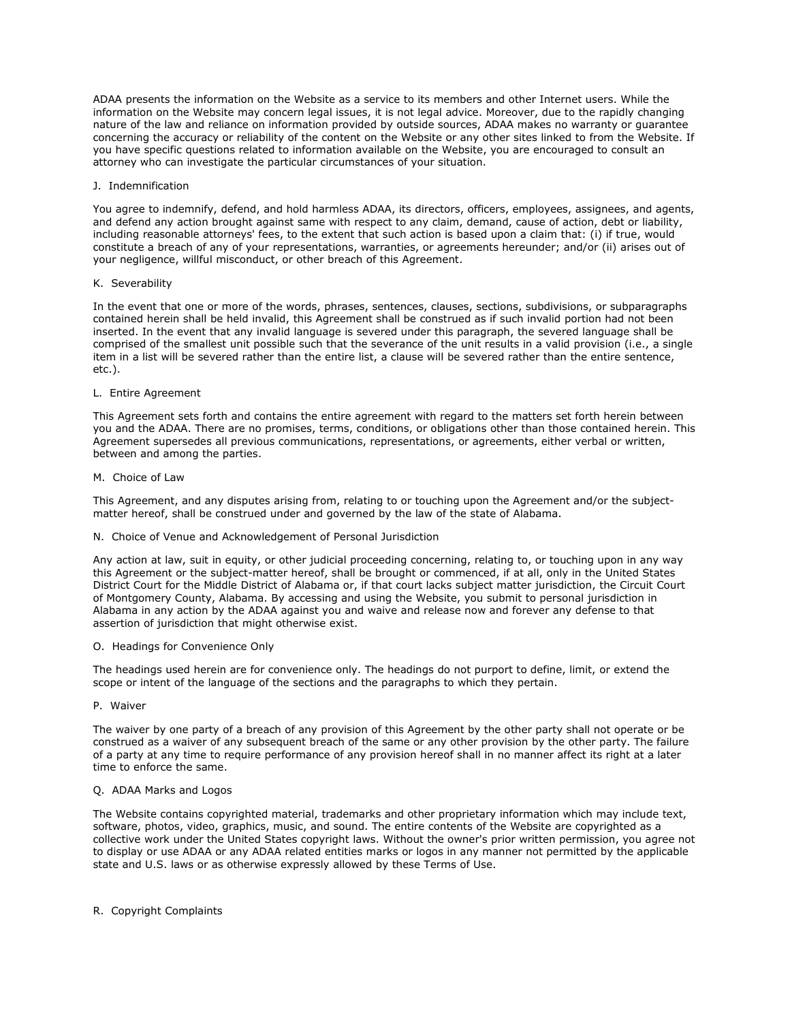ADAA presents the information on the Website as a service to its members and other Internet users. While the information on the Website may concern legal issues, it is not legal advice. Moreover, due to the rapidly changing nature of the law and reliance on information provided by outside sources, ADAA makes no warranty or guarantee concerning the accuracy or reliability of the content on the Website or any other sites linked to from the Website. If you have specific questions related to information available on the Website, you are encouraged to consult an attorney who can investigate the particular circumstances of your situation.

### J. Indemnification

You agree to indemnify, defend, and hold harmless ADAA, its directors, officers, employees, assignees, and agents, and defend any action brought against same with respect to any claim, demand, cause of action, debt or liability, including reasonable attorneys' fees, to the extent that such action is based upon a claim that: (i) if true, would constitute a breach of any of your representations, warranties, or agreements hereunder; and/or (ii) arises out of your negligence, willful misconduct, or other breach of this Agreement.

### K. Severability

In the event that one or more of the words, phrases, sentences, clauses, sections, subdivisions, or subparagraphs contained herein shall be held invalid, this Agreement shall be construed as if such invalid portion had not been inserted. In the event that any invalid language is severed under this paragraph, the severed language shall be comprised of the smallest unit possible such that the severance of the unit results in a valid provision (i.e., a single item in a list will be severed rather than the entire list, a clause will be severed rather than the entire sentence, etc.).

### L. Entire Agreement

This Agreement sets forth and contains the entire agreement with regard to the matters set forth herein between you and the ADAA. There are no promises, terms, conditions, or obligations other than those contained herein. This Agreement supersedes all previous communications, representations, or agreements, either verbal or written, between and among the parties.

# M. Choice of Law

This Agreement, and any disputes arising from, relating to or touching upon the Agreement and/or the subjectmatter hereof, shall be construed under and governed by the law of the state of Alabama.

# N. Choice of Venue and Acknowledgement of Personal Jurisdiction

Any action at law, suit in equity, or other judicial proceeding concerning, relating to, or touching upon in any way this Agreement or the subject-matter hereof, shall be brought or commenced, if at all, only in the United States District Court for the Middle District of Alabama or, if that court lacks subject matter jurisdiction, the Circuit Court of Montgomery County, Alabama. By accessing and using the Website, you submit to personal jurisdiction in Alabama in any action by the ADAA against you and waive and release now and forever any defense to that assertion of jurisdiction that might otherwise exist.

# O. Headings for Convenience Only

The headings used herein are for convenience only. The headings do not purport to define, limit, or extend the scope or intent of the language of the sections and the paragraphs to which they pertain.

# P. Waiver

The waiver by one party of a breach of any provision of this Agreement by the other party shall not operate or be construed as a waiver of any subsequent breach of the same or any other provision by the other party. The failure of a party at any time to require performance of any provision hereof shall in no manner affect its right at a later time to enforce the same.

# Q. ADAA Marks and Logos

The Website contains copyrighted material, trademarks and other proprietary information which may include text, software, photos, video, graphics, music, and sound. The entire contents of the Website are copyrighted as a collective work under the United States copyright laws. Without the owner's prior written permission, you agree not to display or use ADAA or any ADAA related entities marks or logos in any manner not permitted by the applicable state and U.S. laws or as otherwise expressly allowed by these Terms of Use.

# R. Copyright Complaints